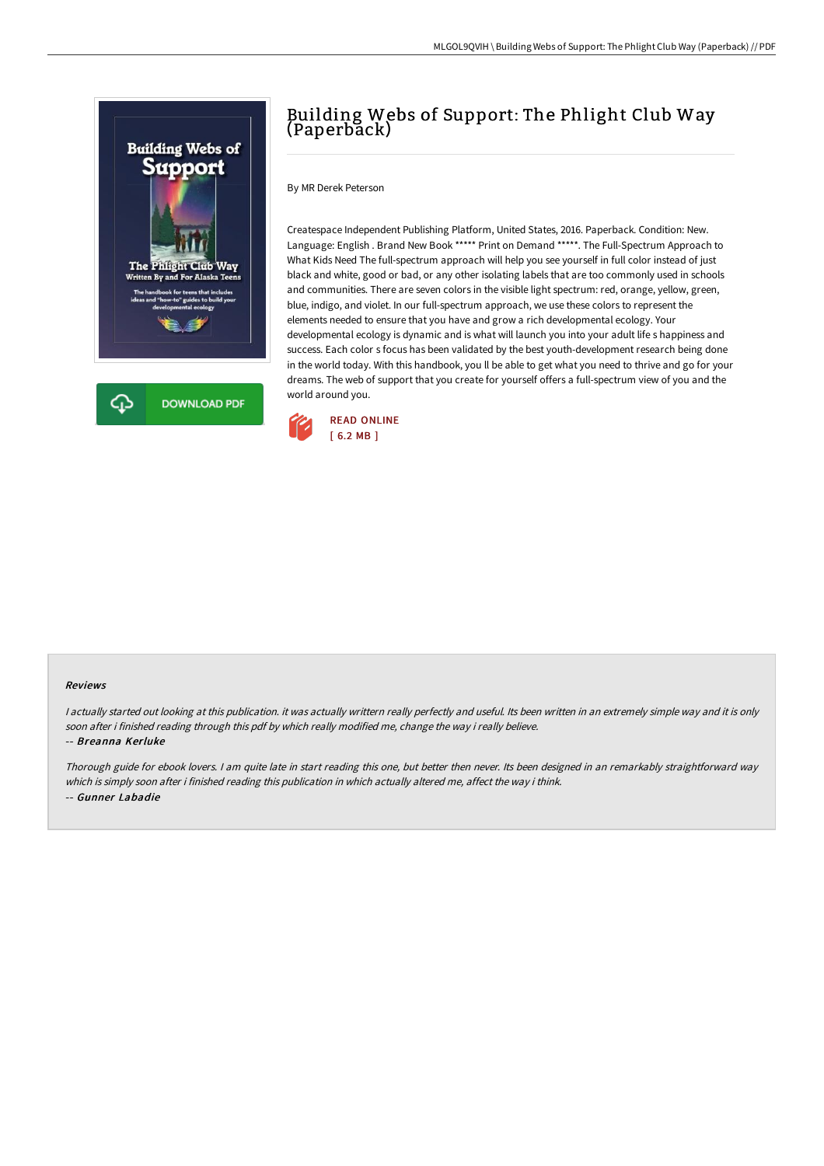

# Building Webs of Support: The Phlight Club Way (Paperback)

By MR Derek Peterson

Createspace Independent Publishing Platform, United States, 2016. Paperback. Condition: New. Language: English . Brand New Book \*\*\*\*\* Print on Demand \*\*\*\*\*. The Full-Spectrum Approach to What Kids Need The full-spectrum approach will help you see yourself in full color instead of just black and white, good or bad, or any other isolating labels that are too commonly used in schools and communities. There are seven colors in the visible light spectrum: red, orange, yellow, green, blue, indigo, and violet. In our full-spectrum approach, we use these colors to represent the elements needed to ensure that you have and grow a rich developmental ecology. Your developmental ecology is dynamic and is what will launch you into your adult life s happiness and success. Each color s focus has been validated by the best youth-development research being done in the world today. With this handbook, you ll be able to get what you need to thrive and go for your dreams. The web of support that you create for yourself offers a full-spectrum view of you and the world around you.



#### Reviews

I actually started out looking at this publication. it was actually writtern really perfectly and useful. Its been written in an extremely simple way and it is only soon after i finished reading through this pdf by which really modified me, change the way i really believe. -- Breanna Kerluke

Thorough guide for ebook lovers. <sup>I</sup> am quite late in start reading this one, but better then never. Its been designed in an remarkably straightforward way which is simply soon after i finished reading this publication in which actually altered me, affect the way i think. -- Gunner Labadie